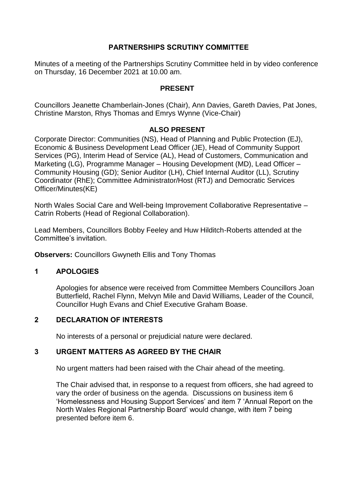# **PARTNERSHIPS SCRUTINY COMMITTEE**

Minutes of a meeting of the Partnerships Scrutiny Committee held in by video conference on Thursday, 16 December 2021 at 10.00 am.

## **PRESENT**

Councillors Jeanette Chamberlain-Jones (Chair), Ann Davies, Gareth Davies, Pat Jones, Christine Marston, Rhys Thomas and Emrys Wynne (Vice-Chair)

# **ALSO PRESENT**

Corporate Director: Communities (NS), Head of Planning and Public Protection (EJ), Economic & Business Development Lead Officer (JE), Head of Community Support Services (PG), Interim Head of Service (AL), Head of Customers, Communication and Marketing (LG), Programme Manager – Housing Development (MD), Lead Officer – Community Housing (GD); Senior Auditor (LH), Chief Internal Auditor (LL), Scrutiny Coordinator (RhE); Committee Administrator/Host (RTJ) and Democratic Services Officer/Minutes(KE)

North Wales Social Care and Well-being Improvement Collaborative Representative -Catrin Roberts (Head of Regional Collaboration).

Lead Members, Councillors Bobby Feeley and Huw Hilditch-Roberts attended at the Committee's invitation.

**Observers:** Councillors Gwyneth Ellis and Tony Thomas

## **1 APOLOGIES**

Apologies for absence were received from Committee Members Councillors Joan Butterfield, Rachel Flynn, Melvyn Mile and David Williams, Leader of the Council, Councillor Hugh Evans and Chief Executive Graham Boase.

# **2 DECLARATION OF INTERESTS**

No interests of a personal or prejudicial nature were declared.

## **3 URGENT MATTERS AS AGREED BY THE CHAIR**

No urgent matters had been raised with the Chair ahead of the meeting.

The Chair advised that, in response to a request from officers, she had agreed to vary the order of business on the agenda. Discussions on business item 6 'Homelessness and Housing Support Services' and item 7 'Annual Report on the North Wales Regional Partnership Board' would change, with item 7 being presented before item 6.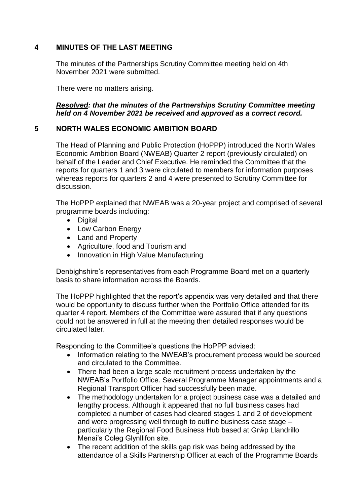# **4 MINUTES OF THE LAST MEETING**

The minutes of the Partnerships Scrutiny Committee meeting held on 4th November 2021 were submitted.

There were no matters arising.

#### *Resolved: that the minutes of the Partnerships Scrutiny Committee meeting held on 4 November 2021 be received and approved as a correct record.*

## **5 NORTH WALES ECONOMIC AMBITION BOARD**

The Head of Planning and Public Protection (HoPPP) introduced the North Wales Economic Ambition Board (NWEAB) Quarter 2 report (previously circulated) on behalf of the Leader and Chief Executive. He reminded the Committee that the reports for quarters 1 and 3 were circulated to members for information purposes whereas reports for quarters 2 and 4 were presented to Scrutiny Committee for discussion.

The HoPPP explained that NWEAB was a 20-year project and comprised of several programme boards including:

- Digital
- Low Carbon Energy
- Land and Property
- Agriculture, food and Tourism and
- Innovation in High Value Manufacturing

Denbighshire's representatives from each Programme Board met on a quarterly basis to share information across the Boards.

The HoPPP highlighted that the report's appendix was very detailed and that there would be opportunity to discuss further when the Portfolio Office attended for its quarter 4 report. Members of the Committee were assured that if any questions could not be answered in full at the meeting then detailed responses would be circulated later.

Responding to the Committee's questions the HoPPP advised:

- Information relating to the NWEAB's procurement process would be sourced and circulated to the Committee.
- There had been a large scale recruitment process undertaken by the NWEAB's Portfolio Office. Several Programme Manager appointments and a Regional Transport Officer had successfully been made.
- The methodology undertaken for a project business case was a detailed and lengthy process. Although it appeared that no full business cases had completed a number of cases had cleared stages 1 and 2 of development and were progressing well through to outline business case stage – particularly the Regional Food Business Hub based at Grŵp Llandrillo Menai's Coleg Glynllifon site.
- The recent addition of the skills gap risk was being addressed by the attendance of a Skills Partnership Officer at each of the Programme Boards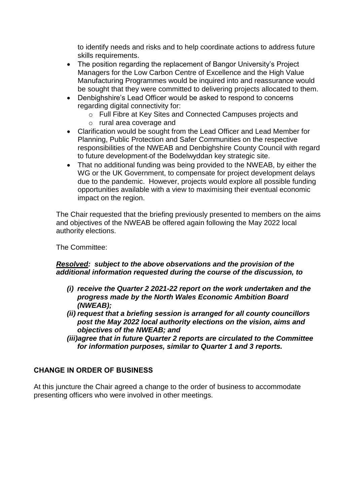to identify needs and risks and to help coordinate actions to address future skills requirements.

- The position regarding the replacement of Bangor University's Project Managers for the Low Carbon Centre of Excellence and the High Value Manufacturing Programmes would be inquired into and reassurance would be sought that they were committed to delivering projects allocated to them.
- Denbighshire's Lead Officer would be asked to respond to concerns regarding digital connectivity for:
	- o Full Fibre at Key Sites and Connected Campuses projects and
	- o rural area coverage and
- Clarification would be sought from the Lead Officer and Lead Member for Planning, Public Protection and Safer Communities on the respective responsibilities of the NWEAB and Denbighshire County Council with regard to future development of the Bodelwyddan key strategic site.
- That no additional funding was being provided to the NWEAB, by either the WG or the UK Government, to compensate for project development delays due to the pandemic. However, projects would explore all possible funding opportunities available with a view to maximising their eventual economic impact on the region.

The Chair requested that the briefing previously presented to members on the aims and objectives of the NWEAB be offered again following the May 2022 local authority elections.

The Committee:

# *Resolved: subject to the above observations and the provision of the additional information requested during the course of the discussion, to*

- *(i) receive the Quarter 2 2021-22 report on the work undertaken and the progress made by the North Wales Economic Ambition Board (NWEAB);*
- *(ii) request that a briefing session is arranged for all county councillors post the May 2022 local authority elections on the vision, aims and objectives of the NWEAB; and*
- *(iii)agree that in future Quarter 2 reports are circulated to the Committee for information purposes, similar to Quarter 1 and 3 reports.*

# **CHANGE IN ORDER OF BUSINESS**

At this juncture the Chair agreed a change to the order of business to accommodate presenting officers who were involved in other meetings.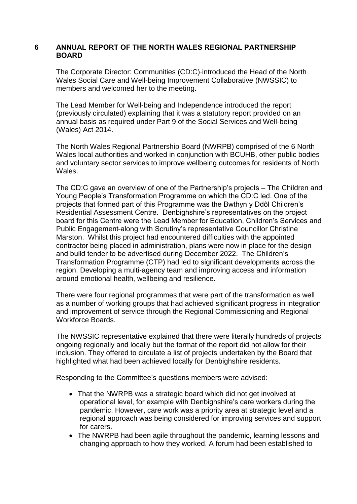## **6 ANNUAL REPORT OF THE NORTH WALES REGIONAL PARTNERSHIP BOARD**

The Corporate Director: Communities (CD:C) introduced the Head of the North Wales Social Care and Well-being Improvement Collaborative (NWSSIC) to members and welcomed her to the meeting.

The Lead Member for Well-being and Independence introduced the report (previously circulated) explaining that it was a statutory report provided on an annual basis as required under Part 9 of the Social Services and Well-being (Wales) Act 2014.

The North Wales Regional Partnership Board (NWRPB) comprised of the 6 North Wales local authorities and worked in conjunction with BCUHB, other public bodies and voluntary sector services to improve wellbeing outcomes for residents of North Wales.

The CD:C gave an overview of one of the Partnership's projects – The Children and Young People's Transformation Programme on which the CD:C led. One of the projects that formed part of this Programme was the Bwthyn y Ddôl Children's Residential Assessment Centre. Denbighshire's representatives on the project board for this Centre were the Lead Member for Education, Children's Services and Public Engagement along with Scrutiny's representative Councillor Christine Marston. Whilst this project had encountered difficulties with the appointed contractor being placed in administration, plans were now in place for the design and build tender to be advertised during December 2022. The Children's Transformation Programme (CTP) had led to significant developments across the region. Developing a multi-agency team and improving access and information around emotional health, wellbeing and resilience.

There were four regional programmes that were part of the transformation as well as a number of working groups that had achieved significant progress in integration and improvement of service through the Regional Commissioning and Regional Workforce Boards.

The NWSSIC representative explained that there were literally hundreds of projects ongoing regionally and locally but the format of the report did not allow for their inclusion. They offered to circulate a list of projects undertaken by the Board that highlighted what had been achieved locally for Denbighshire residents.

Responding to the Committee's questions members were advised:

- That the NWRPB was a strategic board which did not get involved at operational level, for example with Denbighshire's care workers during the pandemic. However, care work was a priority area at strategic level and a regional approach was being considered for improving services and support for carers.
- The NWRPB had been agile throughout the pandemic, learning lessons and changing approach to how they worked. A forum had been established to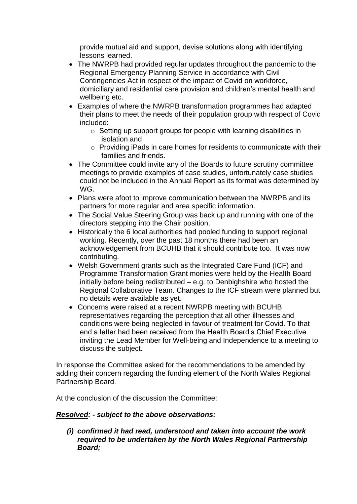provide mutual aid and support, devise solutions along with identifying lessons learned.

- The NWRPB had provided regular updates throughout the pandemic to the Regional Emergency Planning Service in accordance with Civil Contingencies Act in respect of the impact of Covid on workforce, domiciliary and residential care provision and children's mental health and wellbeing etc.
- Examples of where the NWRPB transformation programmes had adapted their plans to meet the needs of their population group with respect of Covid included:
	- o Setting up support groups for people with learning disabilities in isolation and
	- o Providing iPads in care homes for residents to communicate with their families and friends.
- The Committee could invite any of the Boards to future scrutiny committee meetings to provide examples of case studies, unfortunately case studies could not be included in the Annual Report as its format was determined by WG.
- Plans were afoot to improve communication between the NWRPB and its partners for more regular and area specific information.
- The Social Value Steering Group was back up and running with one of the directors stepping into the Chair position.
- Historically the 6 local authorities had pooled funding to support regional working. Recently, over the past 18 months there had been an acknowledgement from BCUHB that it should contribute too. It was now contributing.
- Welsh Government grants such as the Integrated Care Fund (ICF) and Programme Transformation Grant monies were held by the Health Board initially before being redistributed – e.g. to Denbighshire who hosted the Regional Collaborative Team. Changes to the ICF stream were planned but no details were available as yet.
- Concerns were raised at a recent NWRPB meeting with BCUHB representatives regarding the perception that all other illnesses and conditions were being neglected in favour of treatment for Covid. To that end a letter had been received from the Health Board's Chief Executive inviting the Lead Member for Well-being and Independence to a meeting to discuss the subject.

In response the Committee asked for the recommendations to be amended by adding their concern regarding the funding element of the North Wales Regional Partnership Board.

At the conclusion of the discussion the Committee:

# *Resolved: - subject to the above observations:*

*(i) confirmed it had read, understood and taken into account the work required to be undertaken by the North Wales Regional Partnership Board;*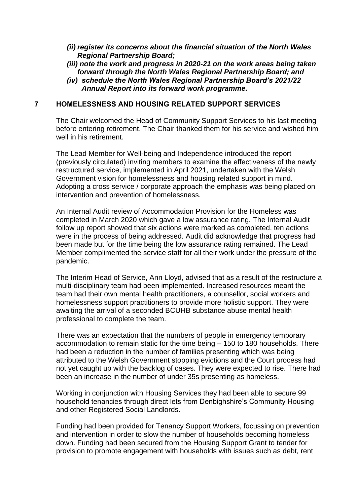- *(ii) register its concerns about the financial situation of the North Wales Regional Partnership Board;*
- *(iii) note the work and progress in 2020-21 on the work areas being taken forward through the North Wales Regional Partnership Board; and*
- *(iv) schedule the North Wales Regional Partnership Board's 2021/22 Annual Report into its forward work programme.*

#### **7 HOMELESSNESS AND HOUSING RELATED SUPPORT SERVICES**

The Chair welcomed the Head of Community Support Services to his last meeting before entering retirement. The Chair thanked them for his service and wished him well in his retirement.

The Lead Member for Well-being and Independence introduced the report (previously circulated) inviting members to examine the effectiveness of the newly restructured service, implemented in April 2021, undertaken with the Welsh Government vision for homelessness and housing related support in mind. Adopting a cross service / corporate approach the emphasis was being placed on intervention and prevention of homelessness.

An Internal Audit review of Accommodation Provision for the Homeless was completed in March 2020 which gave a low assurance rating. The Internal Audit follow up report showed that six actions were marked as completed, ten actions were in the process of being addressed. Audit did acknowledge that progress had been made but for the time being the low assurance rating remained. The Lead Member complimented the service staff for all their work under the pressure of the pandemic.

The Interim Head of Service, Ann Lloyd, advised that as a result of the restructure a multi-disciplinary team had been implemented. Increased resources meant the team had their own mental health practitioners, a counsellor, social workers and homelessness support practitioners to provide more holistic support. They were awaiting the arrival of a seconded BCUHB substance abuse mental health professional to complete the team.

There was an expectation that the numbers of people in emergency temporary accommodation to remain static for the time being – 150 to 180 households. There had been a reduction in the number of families presenting which was being attributed to the Welsh Government stopping evictions and the Court process had not yet caught up with the backlog of cases. They were expected to rise. There had been an increase in the number of under 35s presenting as homeless.

Working in conjunction with Housing Services they had been able to secure 99 household tenancies through direct lets from Denbighshire's Community Housing and other Registered Social Landlords.

Funding had been provided for Tenancy Support Workers, focussing on prevention and intervention in order to slow the number of households becoming homeless down. Funding had been secured from the Housing Support Grant to tender for provision to promote engagement with households with issues such as debt, rent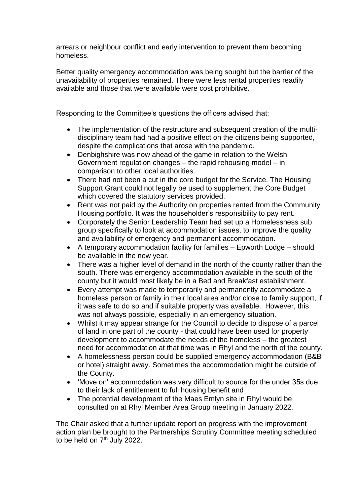arrears or neighbour conflict and early intervention to prevent them becoming homeless.

Better quality emergency accommodation was being sought but the barrier of the unavailability of properties remained. There were less rental properties readily available and those that were available were cost prohibitive.

Responding to the Committee's questions the officers advised that:

- The implementation of the restructure and subsequent creation of the multidisciplinary team had had a positive effect on the citizens being supported, despite the complications that arose with the pandemic.
- Denbighshire was now ahead of the game in relation to the Welsh Government regulation changes – the rapid rehousing model – in comparison to other local authorities.
- There had not been a cut in the core budget for the Service. The Housing Support Grant could not legally be used to supplement the Core Budget which covered the statutory services provided.
- Rent was not paid by the Authority on properties rented from the Community Housing portfolio. It was the householder's responsibility to pay rent.
- Corporately the Senior Leadership Team had set up a Homelessness sub group specifically to look at accommodation issues, to improve the quality and availability of emergency and permanent accommodation.
- A temporary accommodation facility for families Epworth Lodge should be available in the new year.
- There was a higher level of demand in the north of the county rather than the south. There was emergency accommodation available in the south of the county but it would most likely be in a Bed and Breakfast establishment.
- Every attempt was made to temporarily and permanently accommodate a homeless person or family in their local area and/or close to family support, if it was safe to do so and if suitable property was available. However, this was not always possible, especially in an emergency situation.
- Whilst it may appear strange for the Council to decide to dispose of a parcel of land in one part of the county - that could have been used for property development to accommodate the needs of the homeless – the greatest need for accommodation at that time was in Rhyl and the north of the county.
- A homelessness person could be supplied emergency accommodation (B&B or hotel) straight away. Sometimes the accommodation might be outside of the County.
- 'Move on' accommodation was very difficult to source for the under 35s due to their lack of entitlement to full housing benefit and
- The potential development of the Maes Emlyn site in Rhyl would be consulted on at Rhyl Member Area Group meeting in January 2022.

The Chair asked that a further update report on progress with the improvement action plan be brought to the Partnerships Scrutiny Committee meeting scheduled to be held on 7<sup>th</sup> July 2022.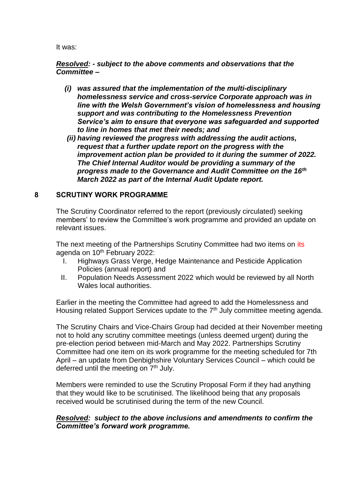It was:

*Resolved: - subject to the above comments and observations that the Committee –*

- *(i) was assured that the implementation of the multi-disciplinary homelessness service and cross-service Corporate approach was in line with the Welsh Government's vision of homelessness and housing support and was contributing to the Homelessness Prevention Service's aim to ensure that everyone was safeguarded and supported to line in homes that met their needs; and*
- *(ii) having reviewed the progress with addressing the audit actions, request that a further update report on the progress with the improvement action plan be provided to it during the summer of 2022. The Chief Internal Auditor would be providing a summary of the progress made to the Governance and Audit Committee on the 16th March 2022 as part of the Internal Audit Update report.*

# **8 SCRUTINY WORK PROGRAMME**

The Scrutiny Coordinator referred to the report (previously circulated) seeking members' to review the Committee's work programme and provided an update on relevant issues.

The next meeting of the Partnerships Scrutiny Committee had two items on its agenda on 10<sup>th</sup> February 2022:

- I. Highways Grass Verge, Hedge Maintenance and Pesticide Application Policies (annual report) and
- II. Population Needs Assessment 2022 which would be reviewed by all North Wales local authorities.

Earlier in the meeting the Committee had agreed to add the Homelessness and Housing related Support Services update to the  $7<sup>th</sup>$  July committee meeting agenda.

The Scrutiny Chairs and Vice-Chairs Group had decided at their November meeting not to hold any scrutiny committee meetings (unless deemed urgent) during the pre-election period between mid-March and May 2022. Partnerships Scrutiny Committee had one item on its work programme for the meeting scheduled for 7th April – an update from Denbighshire Voluntary Services Council – which could be deferred until the meeting on 7<sup>th</sup> July.

Members were reminded to use the Scrutiny Proposal Form if they had anything that they would like to be scrutinised. The likelihood being that any proposals received would be scrutinised during the term of the new Council.

## *Resolved: subject to the above inclusions and amendments to confirm the Committee's forward work programme.*